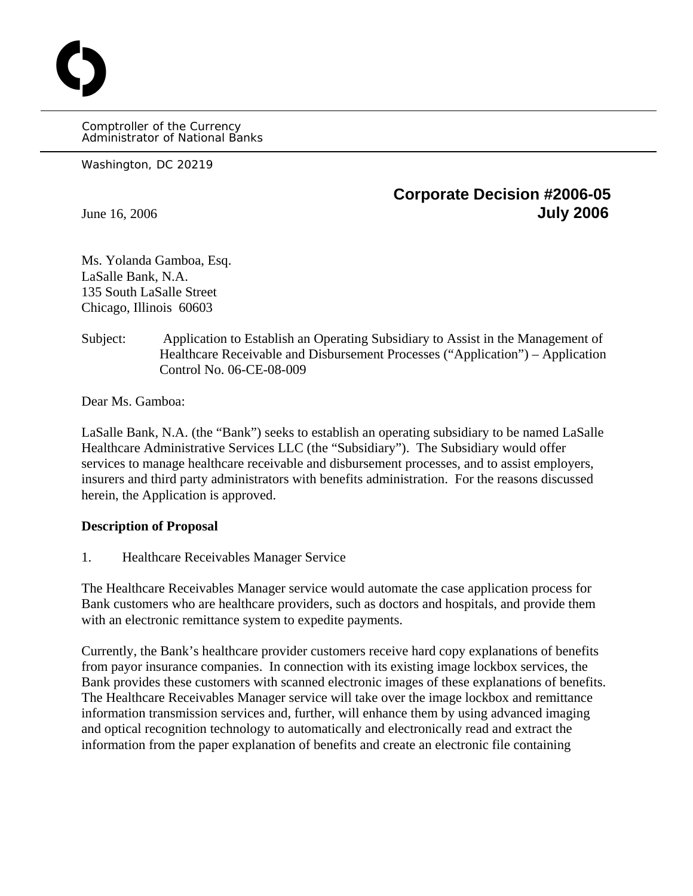Comptroller of the Currency Administrator of National Banks

Washington, DC 20219

O

## **Corporate Decision #2006-05** June 16, 2006 **July 2006**

Ms. Yolanda Gamboa, Esq. LaSalle Bank, N.A. 135 South LaSalle Street Chicago, Illinois 60603

 Subject: Application to Establish an Operating Subsidiary to Assist in the Management of Healthcare Receivable and Disbursement Processes ("Application") – Application Control No. 06-CE-08-009

Dear Ms. Gamboa:

LaSalle Bank, N.A. (the "Bank") seeks to establish an operating subsidiary to be named LaSalle Healthcare Administrative Services LLC (the "Subsidiary"). The Subsidiary would offer services to manage healthcare receivable and disbursement processes, and to assist employers, insurers and third party administrators with benefits administration. For the reasons discussed herein, the Application is approved.

## **Description of Proposal**

1. Healthcare Receivables Manager Service

The Healthcare Receivables Manager service would automate the case application process for Bank customers who are healthcare providers, such as doctors and hospitals, and provide them with an electronic remittance system to expedite payments.

Currently, the Bank's healthcare provider customers receive hard copy explanations of benefits from payor insurance companies. In connection with its existing image lockbox services, the Bank provides these customers with scanned electronic images of these explanations of benefits. The Healthcare Receivables Manager service will take over the image lockbox and remittance information transmission services and, further, will enhance them by using advanced imaging and optical recognition technology to automatically and electronically read and extract the information from the paper explanation of benefits and create an electronic file containing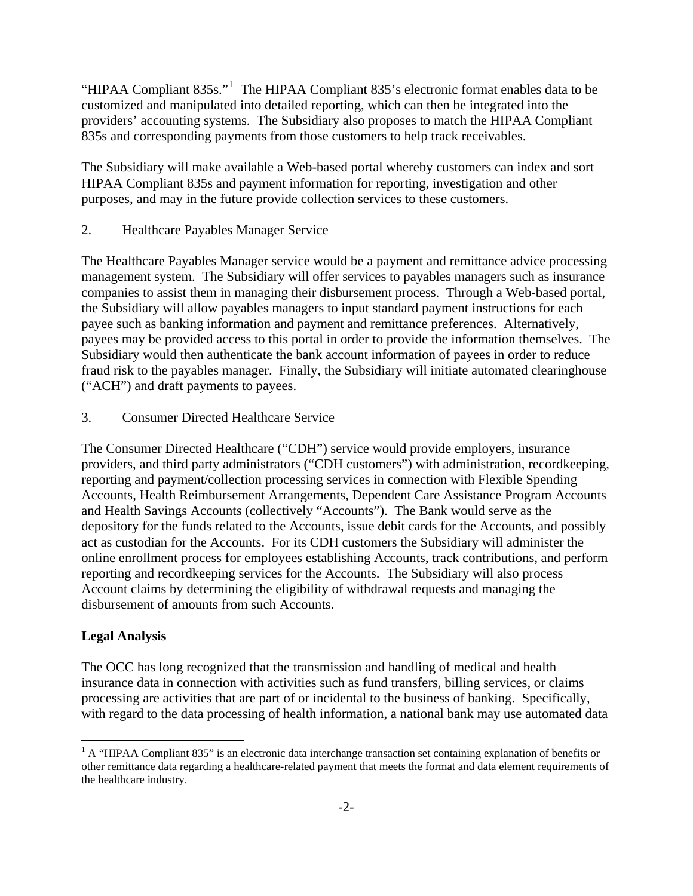"HIPAA Compliant 835s."<sup>[1](#page-1-0)</sup> The HIPAA Compliant 835's electronic format enables data to be customized and manipulated into detailed reporting, which can then be integrated into the providers' accounting systems. The Subsidiary also proposes to match the HIPAA Compliant 835s and corresponding payments from those customers to help track receivables.

The Subsidiary will make available a Web-based portal whereby customers can index and sort HIPAA Compliant 835s and payment information for reporting, investigation and other purposes, and may in the future provide collection services to these customers.

2. Healthcare Payables Manager Service

The Healthcare Payables Manager service would be a payment and remittance advice processing management system. The Subsidiary will offer services to payables managers such as insurance companies to assist them in managing their disbursement process. Through a Web-based portal, the Subsidiary will allow payables managers to input standard payment instructions for each payee such as banking information and payment and remittance preferences. Alternatively, payees may be provided access to this portal in order to provide the information themselves. The Subsidiary would then authenticate the bank account information of payees in order to reduce fraud risk to the payables manager. Finally, the Subsidiary will initiate automated clearinghouse ("ACH") and draft payments to payees.

3. Consumer Directed Healthcare Service

The Consumer Directed Healthcare ("CDH") service would provide employers, insurance providers, and third party administrators ("CDH customers") with administration, recordkeeping, reporting and payment/collection processing services in connection with Flexible Spending Accounts, Health Reimbursement Arrangements, Dependent Care Assistance Program Accounts and Health Savings Accounts (collectively "Accounts"). The Bank would serve as the depository for the funds related to the Accounts, issue debit cards for the Accounts, and possibly act as custodian for the Accounts. For its CDH customers the Subsidiary will administer the online enrollment process for employees establishing Accounts, track contributions, and perform reporting and recordkeeping services for the Accounts. The Subsidiary will also process Account claims by determining the eligibility of withdrawal requests and managing the disbursement of amounts from such Accounts.

## **Legal Analysis**

The OCC has long recognized that the transmission and handling of medical and health insurance data in connection with activities such as fund transfers, billing services, or claims processing are activities that are part of or incidental to the business of banking. Specifically, with regard to the data processing of health information, a national bank may use automated data

<span id="page-1-0"></span><sup>1</sup> <sup>1</sup> A "HIPAA Compliant 835" is an electronic data interchange transaction set containing explanation of benefits or other remittance data regarding a healthcare-related payment that meets the format and data element requirements of the healthcare industry.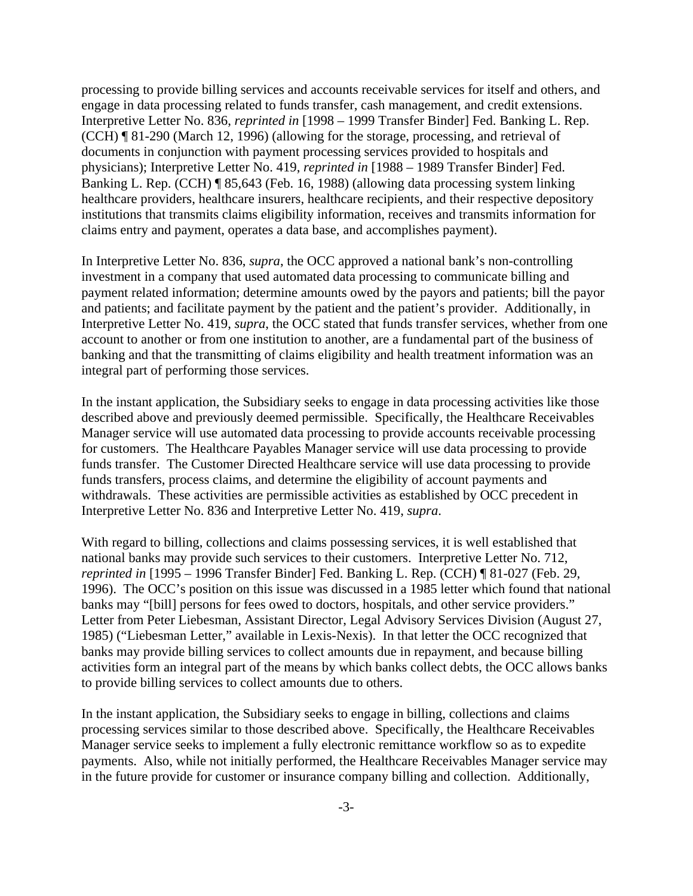processing to provide billing services and accounts receivable services for itself and others, and engage in data processing related to funds transfer, cash management, and credit extensions. Interpretive Letter No. 836, *reprinted in* [1998 – 1999 Transfer Binder] Fed. Banking L. Rep. (CCH) ¶ 81-290 (March 12, 1996) (allowing for the storage, processing, and retrieval of documents in conjunction with payment processing services provided to hospitals and physicians); Interpretive Letter No. 419, *reprinted in* [1988 – 1989 Transfer Binder] Fed. Banking L. Rep. (CCH) ¶ 85,643 (Feb. 16, 1988) (allowing data processing system linking healthcare providers, healthcare insurers, healthcare recipients, and their respective depository institutions that transmits claims eligibility information, receives and transmits information for claims entry and payment, operates a data base, and accomplishes payment).

In Interpretive Letter No. 836, *supra*, the OCC approved a national bank's non-controlling investment in a company that used automated data processing to communicate billing and payment related information; determine amounts owed by the payors and patients; bill the payor and patients; and facilitate payment by the patient and the patient's provider. Additionally, in Interpretive Letter No. 419, *supra*, the OCC stated that funds transfer services, whether from one account to another or from one institution to another, are a fundamental part of the business of banking and that the transmitting of claims eligibility and health treatment information was an integral part of performing those services.

In the instant application, the Subsidiary seeks to engage in data processing activities like those described above and previously deemed permissible. Specifically, the Healthcare Receivables Manager service will use automated data processing to provide accounts receivable processing for customers. The Healthcare Payables Manager service will use data processing to provide funds transfer. The Customer Directed Healthcare service will use data processing to provide funds transfers, process claims, and determine the eligibility of account payments and withdrawals. These activities are permissible activities as established by OCC precedent in Interpretive Letter No. 836 and Interpretive Letter No. 419, *supra*.

With regard to billing, collections and claims possessing services, it is well established that national banks may provide such services to their customers. Interpretive Letter No. 712, *reprinted in* [1995 – 1996 Transfer Binder] Fed. Banking L. Rep. (CCH) ¶ 81-027 (Feb. 29, 1996). The OCC's position on this issue was discussed in a 1985 letter which found that national banks may "[bill] persons for fees owed to doctors, hospitals, and other service providers." Letter from Peter Liebesman, Assistant Director, Legal Advisory Services Division (August 27, 1985) ("Liebesman Letter," available in Lexis-Nexis). In that letter the OCC recognized that banks may provide billing services to collect amounts due in repayment, and because billing activities form an integral part of the means by which banks collect debts, the OCC allows banks to provide billing services to collect amounts due to others.

In the instant application, the Subsidiary seeks to engage in billing, collections and claims processing services similar to those described above. Specifically, the Healthcare Receivables Manager service seeks to implement a fully electronic remittance workflow so as to expedite payments. Also, while not initially performed, the Healthcare Receivables Manager service may in the future provide for customer or insurance company billing and collection. Additionally,